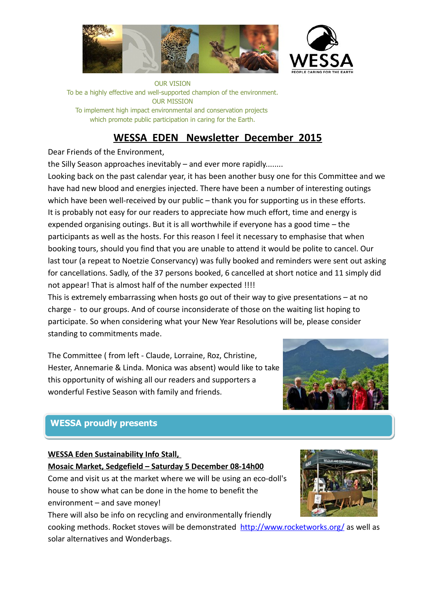

OUR VISION To be a highly effective and well-supported champion of the environment. OUR MISSION To implement high impact environmental and conservation projects which promote public participation in caring for the Earth.

# **WESSA EDEN Newsletter December 2015**

## Dear Friends of the Environment,

the Silly Season approaches inevitably – and ever more rapidly........

Looking back on the past calendar year, it has been another busy one for this Committee and we have had new blood and energies injected. There have been a number of interesting outings which have been well-received by our public – thank you for supporting us in these efforts. It is probably not easy for our readers to appreciate how much effort, time and energy is expended organising outings. But it is all worthwhile if everyone has a good time – the participants as well as the hosts. For this reason I feel it necessary to emphasise that when booking tours, should you find that you are unable to attend it would be polite to cancel. Our last tour (a repeat to Noetzie Conservancy) was fully booked and reminders were sent out asking for cancellations. Sadly, of the 37 persons booked, 6 cancelled at short notice and 11 simply did not appear! That is almost half of the number expected !!!!

This is extremely embarrassing when hosts go out of their way to give presentations – at no charge - to our groups. And of course inconsiderate of those on the waiting list hoping to participate. So when considering what your New Year Resolutions will be, please consider standing to commitments made.

The Committee ( from left - Claude, Lorraine, Roz, Christine, Hester, Annemarie & Linda. Monica was absent) would like to take this opportunity of wishing all our readers and supporters a wonderful Festive Season with family and friends.



# **WESSA proudly presents WESSA proudly presents**

## **WESSA Eden Sustainability Info Stall, Mosaic Market, Sedgefield – Saturday 5 December 08-14h00**

Come and visit us at the market where we will be using an eco-doll's house to show what can be done in the home to benefit the environment – and save money!

There will also be info on recycling and environmentally friendly

cooking methods. Rocket stoves will be demonstrated <http://www.rocketworks.org/>as well as solar alternatives and Wonderbags.

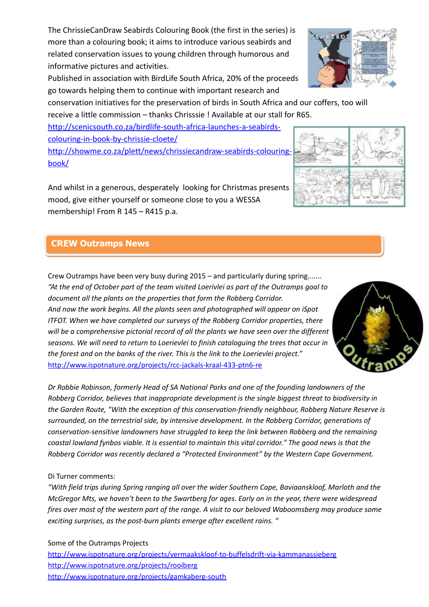The ChrissieCanDraw Seabirds Colouring Book (the first in the series) is more than a colouring book; it aims to introduce various seabirds and related conservation issues to young children through humorous and informative pictures and activities.

Published in association with BirdLife South Africa, 20% of the proceeds go towards helping them to continue with important research and

conservation initiatives for the preservation of birds in South Africa and our coffers, too will receive a little commission – thanks Chrisssie ! Available at our stall for R65.

[http://scenicsouth.co.za/birdlife-south-africa-launches-a-seabirds](http://scenicsouth.co.za/birdlife-south-africa-launches-a-seabirds-colouring-in-book-by-chrissie-cloete/)[colouring-in-book-by-chrissie-cloete/](http://scenicsouth.co.za/birdlife-south-africa-launches-a-seabirds-colouring-in-book-by-chrissie-cloete/)

[http://showme.co.za/plett/news/chrissiecandraw-seabirds-colouring](http://showme.co.za/plett/news/chrissiecandraw-seabirds-colouring-book/)[book/](http://showme.co.za/plett/news/chrissiecandraw-seabirds-colouring-book/)

And whilst in a generous, desperately looking for Christmas presents mood, give either yourself or someone close to you a WESSA membership! From R 145 – R415 p.a.

# **CREW Outramps News CREW Outramps News**

Crew Outramps have been very busy during 2015 – and particularly during spring....... *"At the end of October part of the team visited Loerivlei as part of the Outramps goal to document all the plants on the properties that form the Robberg Corridor. And now the work begins. All the plants seen and photographed will appear on iSpot ITFOT. When we have completed our surveys of the Robberg Corridor properties, there will be a comprehensive pictorial record of all the plants we have seen over the different seasons. We will need to return to Loerievlei to finish cataloguing the trees that occur in the forest and on the banks of the river. This is the link to the Loerievlei project."*  http://www.ispotnature.org/projects/rcc-jackals-kraal-433-ptn6-re

*Dr Robbie Robinson, formerly Head of SA National Parks and one of the founding landowners of the Robberg Corridor, believes that inappropriate development is the single biggest threat to biodiversity in the Garden Route, "With the exception of this conservation-friendly neighbour, Robberg Nature Reserve is surrounded, on the terrestrial side, by intensive development. In the Robberg Corridor, generations of conservation-sensitive landowners have struggled to keep the link between Robberg and the remaining coastal lowland fynbos viable. It is essential to maintain this vital corridor." The good news is that the Robberg Corridor was recently declared a "Protected Environment" by the Western Cape Government.*

## Di Turner comments:

*"With field trips during Spring ranging all over the wider Southern Cape, Baviaanskloof, Marloth and the McGregor Mts, we haven't been to the Swartberg for ages. Early on in the year, there were widespread fires over most of the western part of the range. A visit to our beloved Waboomsberg may produce some exciting surprises, as the post-burn plants emerge after excellent rains. "*

Some of the Outramps Projects http://www.ispotnature.org/projects/vermaakskloof-to-buffelsdrift-via-kammanassieberg http://www.ispotnature.org/projects/rooiberg http://www.ispotnature.org/projects/gamkaberg-south







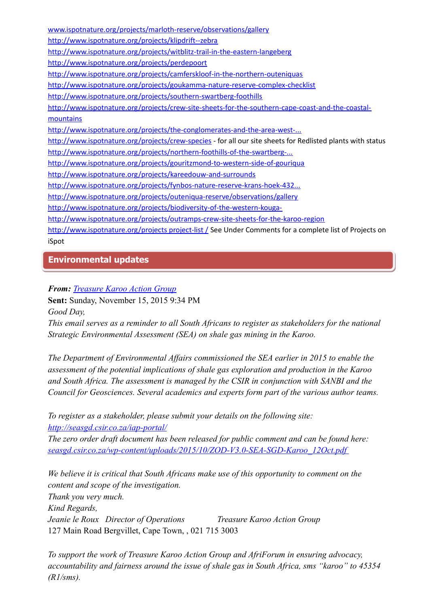www.ispotnature.org/projects/marloth-reserve/observations/gallery http://www.ispotnature.org/projects/klipdrift--zebra http://www.ispotnature.org/projects/witblitz-trail-in-the-eastern-langeberg http://www.ispotnature.org/projects/perdepoort http://www.ispotnature.org/projects/camferskloof-in-the-northern-outeniquas http://www.ispotnature.org/projects/goukamma-nature-reserve-complex-checklist http://www.ispotnature.org/projects/southern-swartberg-foothills http://www.ispotnature.org/projects/crew-site-sheets-for-the-southern-cape-coast-and-the-coastalmountains http://www.ispotnature.org/projects/the-conglomerates-and-the-area-west-... http://www.ispotnature.org/projects/crew-species - for all our site sheets for Redlisted plants with status http://www.ispotnature.org/projects/northern-foothills-of-the-swartberg-... http://www.ispotnature.org/projects/gouritzmond-to-western-side-of-gouriqua http://www.ispotnature.org/projects/kareedouw-and-surrounds http://www.ispotnature.org/projects/fynbos-nature-reserve-krans-hoek-432... http://www.ispotnature.org/projects/outeniqua-reserve/observations/gallery http://www.ispotnature.org/projects/biodiversity-of-the-western-kougahttp://www.ispotnature.org/projects/outramps-crew-site-sheets-for-the-karoo-region http://www.ispotnature.org/projects project-list / See Under Comments for a complete list of Projects on iSpot

## **Environmental updates Environmental updates**

## *From: Treasure Karoo Action Group*

**Sent:** Sunday, November 15, 2015 9:34 PM

*Good Day,*

*This email serves as a reminder to all South Africans to register as stakeholders for the national Strategic Environmental Assessment (SEA) on shale gas mining in the Karoo.*

*The Department of Environmental Affairs commissioned the SEA earlier in 2015 to enable the assessment of the potential implications of shale gas exploration and production in the Karoo and South Africa. The assessment is managed by the CSIR in conjunction with SANBI and the Council for Geosciences. Several academics and experts form part of the various author teams.*

*To register as a stakeholder, please submit your details on the following site: http://seasgd.csir.co.za/iap-portal/*

*The zero order draft document has been released for public comment and can be found here: seasgd.csir.co.za/wp-content/uploads/2015/10/ZOD-V3.0-SEA-SGD-Karoo\_12Oct.pdf* 

*We believe it is critical that South Africans make use of this opportunity to comment on the content and scope of the investigation. Thank you very much. Kind Regards, Jeanie le Roux Director of Operations Treasure Karoo Action Group*  127 Main Road Bergvillet, Cape Town, , 021 715 3003

*To support the work of Treasure Karoo Action Group and AfriForum in ensuring advocacy, accountability and fairness around the issue of shale gas in South Africa, sms "karoo" to 45354 (R1/sms).*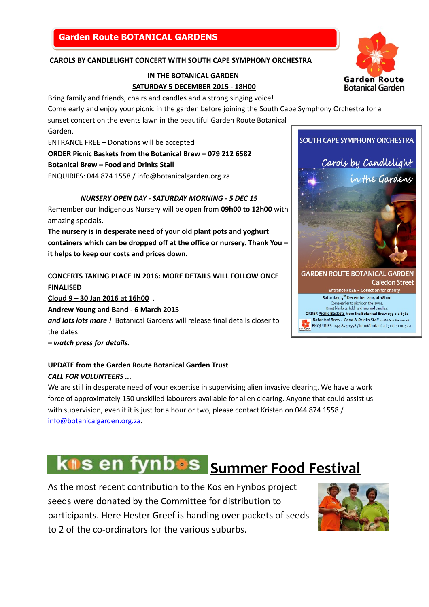## **Garden Route BOTANICAL GARDENS Garden Route BOTANICAL GARDENS**

#### **CAROLS BY CANDLELIGHT CONCERT WITH SOUTH CAPE SYMPHONY ORCHESTRA**

### **IN THE BOTANICAL GARDEN SATURDAY 5 DECEMBER 2015 - 18H00**

Bring family and friends, chairs and candles and a strong singing voice!

Come early and enjoy your picnic in the garden before joining the South Cape Symphony Orchestra for a

sunset concert on the events lawn in the beautiful Garden Route Botanical

Garden.

ENTRANCE FREE – Donations will be accepted

**ORDER Picnic Baskets from the Botanical Brew – 079 212 6582**

**Botanical Brew – Food and Drinks Stall**

ENQUIRIES: 044 874 1558 / info@botanicalgarden.org.za

#### *NURSERY OPEN DAY - SATURDAY MORNING - 5 DEC 15*

Remember our Indigenous Nursery will be open from **09h00 to 12h00** with amazing specials.

**The nursery is in desperate need of your old plant pots and yoghurt containers which can be dropped off at the office or nursery. Thank You – it helps to keep our costs and prices down.**

**CONCERTS TAKING PLACE IN 2016: MORE DETAILS WILL FOLLOW ONCE FINALISED** 

**Cloud 9 – 30 Jan 2016 at 16h00** .

**Andrew Young and Band - 6 March 2015**

*and lots lots more !* Botanical Gardens will release final details closer to the dates.

*– watch press for details.*

## **UPDATE from the Garden Route Botanical Garden Trust** *CALL FOR VOLUNTEERS ...*

We are still in desperate need of your expertise in supervising alien invasive clearing. We have a work force of approximately 150 unskilled labourers available for alien clearing. Anyone that could assist us with supervision, even if it is just for a hour or two, please contact Kristen on 044 874 1558 / info@botanicalgarden.org.za.

# **kns en fynbos** Summer Food Festival

As the most recent contribution to the Kos en Fynbos project seeds were donated by the Committee for distribution to participants. Here Hester Greef is handing over packets of seeds to 2 of the co-ordinators for the various suburbs.





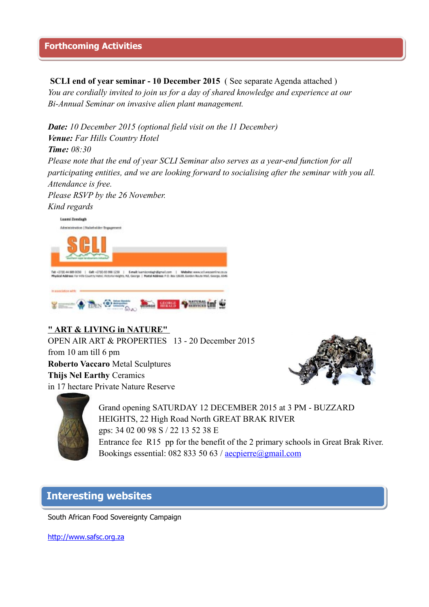**SCLI end of year seminar - 10 December 2015** ( See separate Agenda attached ) *You are cordially invited to join us for a day of shared knowledge and experience at our Bi-Annual Seminar on invasive alien plant management.* 

*Date: 10 December 2015 (optional field visit on the 11 December) Venue: Far Hills Country Hotel Time: 08:30*

*Please note that the end of year SCLI Seminar also serves as a year-end function for all participating entities, and we are looking forward to socialising after the seminar with you all. Attendance is free.* 

*Please RSVP by the 26 November.* 





## **" ART & LIVING in NATURE"**

OPEN AIR ART & PROPERTIES 13 - 20 December 2015 from 10 am till 6 pm **Roberto Vaccaro** Metal Sculptures **Thijs Nel Earthy** Ceramics in 17 hectare Private Nature Reserve





Grand opening SATURDAY 12 DECEMBER 2015 at 3 PM - BUZZARD HEIGHTS, 22 High Road North GREAT BRAK RIVER gps: 34 02 00 98 S / 22 13 52 38 E Entrance fee R15 pp for the benefit of the 2 primary schools in Great Brak River. Bookings essential: 082 833 50 63 /  $\frac{\text{acceptire}(a) \text{gmail.com}}{\text{neglierre}(a) \text{gmail.com}}$ 

# **Interesting websites Interesting websites**

South African Food Sovereignty Campaign

[http://www.safsc.org.za](http://www.safsc.org.za/)